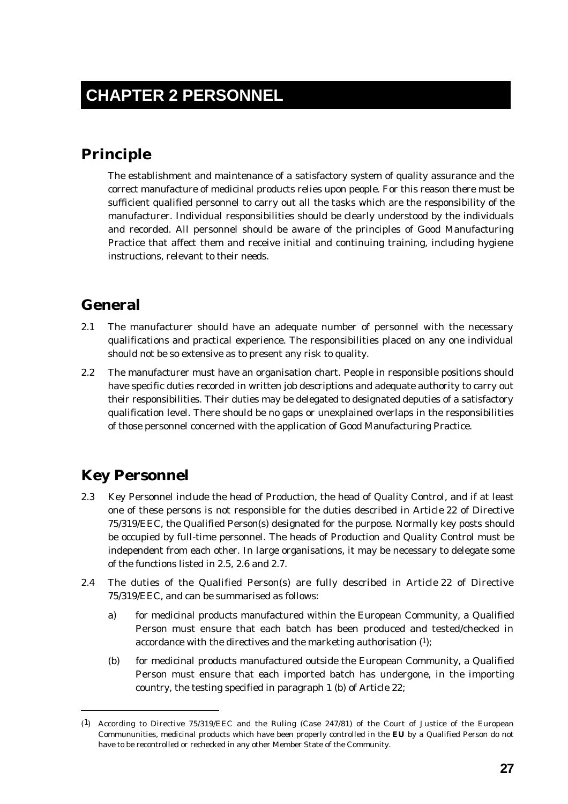# **CHAPTER 2 PERSONNEL**

# **Principle**

The establishment and maintenance of a satisfactory system of quality assurance and the correct manufacture of medicinal products relies upon people. For this reason there must be sufficient qualified personnel to carry out all the tasks which are the responsibility of the manufacturer. Individual responsibilities should be clearly understood by the individuals and recorded. All personnel should be aware of the principles of Good Manufacturing Practice that affect them and receive initial and continuing training, including hygiene instructions, relevant to their needs.

# **General**

- 2.1 The manufacturer should have an adequate number of personnel with the necessary qualifications and practical experience. The responsibilities placed on any one individual should not be so extensive as to present any risk to quality.
- 2.2 The manufacturer must have an organisation chart. People in responsible positions should have specific duties recorded in written job descriptions and adequate authority to carry out their responsibilities. Their duties may be delegated to designated deputies of a satisfactory qualification level. There should be no gaps or unexplained overlaps in the responsibilities of those personnel concerned with the application of Good Manufacturing Practice.

## **Key Personnel**

 $\overline{a}$ 

- 2.3 Key Personnel include the head of Production, the head of Quality Control, and if at least one of these persons is not responsible for the duties described in Article 22 of Directive 75/319/EEC, the Qualified Person(s) designated for the purpose. Normally key posts should be occupied by full-time personnel. The heads of Production and Quality Control must be independent from each other. In large organisations, it may be necessary to delegate some of the functions listed in 2.5, 2.6 and 2.7.
- 2.4 The duties of the Qualified Person(s) are fully described in Article 22 of Directive 75/319/EEC, and can be summarised as follows:
	- a) for medicinal products manufactured within the European Community, a Qualified Person must ensure that each batch has been produced and tested/checked in accordance with the directives and the marketing authorisation (1);
	- (b) for medicinal products manufactured outside the European Community, a Qualified Person must ensure that each imported batch has undergone, in the importing country, the testing specified in paragraph 1 (b) of Article 22;

<sup>(1)</sup> According to Directive 75/319/EEC and the Ruling (Case 247/81) of the Court of Justice of the European Commununities, medicinal products which have been properly controlled in the **EU** by a Qualified Person do not have to be recontrolled or rechecked in any other Member State of the Community.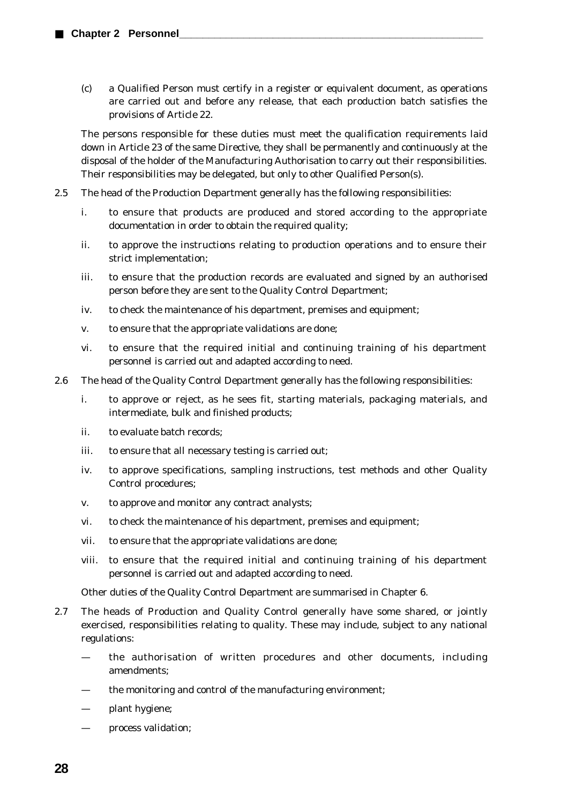(c) a Qualified Person must certify in a register or equivalent document, as operations are carried out and before any release, that each production batch satisfies the provisions of Article 22.

The persons responsible for these duties must meet the qualification requirements laid down in Article 23 of the same Directive, they shall be permanently and continuously at the disposal of the holder of the Manufacturing Authorisation to carry out their responsibilities. Their responsibilities may be delegated, but only to other Qualified Person(s).

- 2.5 The head of the Production Department generally has the following responsibilities:
	- i. to ensure that products are produced and stored according to the appropriate documentation in order to obtain the required quality;
	- ii. to approve the instructions relating to production operations and to ensure their strict implementation;
	- iii. to ensure that the production records are evaluated and signed by an authorised person before they are sent to the Quality Control Department;
	- iv. to check the maintenance of his department, premises and equipment;
	- v. to ensure that the appropriate validations are done;
	- vi. to ensure that the required initial and continuing training of his department personnel is carried out and adapted according to need.
- 2.6 The head of the Quality Control Department generally has the following responsibilities:
	- i. to approve or reject, as he sees fit, starting materials, packaging materials, and intermediate, bulk and finished products;
	- ii. to evaluate batch records;
	- iii. to ensure that all necessary testing is carried out;
	- iv. to approve specifications, sampling instructions, test methods and other Quality Control procedures;
	- v. to approve and monitor any contract analysts;
	- vi. to check the maintenance of his department, premises and equipment;
	- vii. to ensure that the appropriate validations are done;
	- viii. to ensure that the required initial and continuing training of his department personnel is carried out and adapted according to need.

Other duties of the Quality Control Department are summarised in Chapter 6.

- 2.7 The heads of Production and Quality Control generally have some shared, or jointly exercised, responsibilities relating to quality. These may include, subject to any national regulations:
	- the authorisation of written procedures and other documents, including amendments;
	- the monitoring and control of the manufacturing environment;
	- plant hygiene;
	- process validation;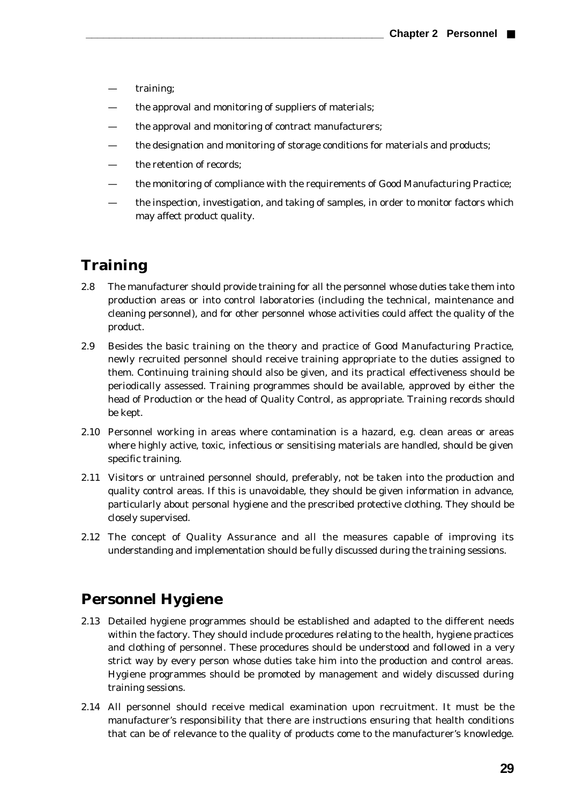- training;
- the approval and monitoring of suppliers of materials;
- the approval and monitoring of contract manufacturers:
- the designation and monitoring of storage conditions for materials and products;
- the retention of records;
- the monitoring of compliance with the requirements of Good Manufacturing Practice;
- the inspection, investigation, and taking of samples, in order to monitor factors which may affect product quality.

### **Training**

- 2.8 The manufacturer should provide training for all the personnel whose duties take them into production areas or into control laboratories (including the technical, maintenance and cleaning personnel), and for other personnel whose activities could affect the quality of the product.
- 2.9 Besides the basic training on the theory and practice of Good Manufacturing Practice, newly recruited personnel should receive training appropriate to the duties assigned to them. Continuing training should also be given, and its practical effectiveness should be periodically assessed. Training programmes should be available, approved by either the head of Production or the head of Quality Control, as appropriate. Training records should be kept.
- 2.10 Personnel working in areas where contamination is a hazard, e.g. clean areas or areas where highly active, toxic, infectious or sensitising materials are handled, should be given specific training.
- 2.11 Visitors or untrained personnel should, preferably, not be taken into the production and quality control areas. If this is unavoidable, they should be given information in advance, particularly about personal hygiene and the prescribed protective clothing. They should be closely supervised.
- 2.12 The concept of Quality Assurance and all the measures capable of improving its understanding and implementation should be fully discussed during the training sessions.

#### **Personnel Hygiene**

- 2.13 Detailed hygiene programmes should be established and adapted to the different needs within the factory. They should include procedures relating to the health, hygiene practices and clothing of personnel. These procedures should be understood and followed in a very strict way by every person whose duties take him into the production and control areas. Hygiene programmes should be promoted by management and widely discussed during training sessions.
- 2.14 All personnel should receive medical examination upon recruitment. It must be the manufacturer's responsibility that there are instructions ensuring that health conditions that can be of relevance to the quality of products come to the manufacturer's knowledge.